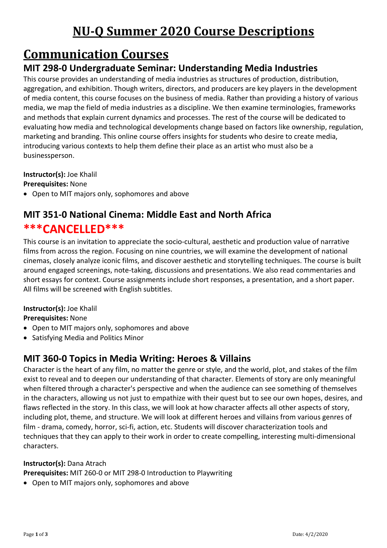# **NU-Q Summer 2020 Course Descriptions**

## **Communication Courses**

## **MIT 298-0 Undergraduate Seminar: Understanding Media Industries**

This course provides an understanding of media industries as structures of production, distribution, aggregation, and exhibition. Though writers, directors, and producers are key players in the development of media content, this course focuses on the business of media. Rather than providing a history of various media, we map the field of media industries as a discipline. We then examine terminologies, frameworks and methods that explain current dynamics and processes. The rest of the course will be dedicated to evaluating how media and technological developments change based on factors like ownership, regulation, marketing and branding. This online course offers insights for students who desire to create media, introducing various contexts to help them define their place as an artist who must also be a businessperson.

**Instructor(s):** Joe Khalil

**Prerequisites:** None

• Open to MIT majors only, sophomores and above

## **MIT 351-0 National Cinema: Middle East and North Africa \*\*\*CANCELLED\*\*\***

This course is an invitation to appreciate the socio-cultural, aesthetic and production value of narrative films from across the region. Focusing on nine countries, we will examine the development of national cinemas, closely analyze iconic films, and discover aesthetic and storytelling techniques. The course is built around engaged screenings, note-taking, discussions and presentations. We also read commentaries and short essays for context. Course assignments include short responses, a presentation, and a short paper. All films will be screened with English subtitles.

#### **Instructor(s):** Joe Khalil

**Prerequisites:** None

- Open to MIT majors only, sophomores and above
- Satisfying Media and Politics Minor

### **MIT 360-0 Topics in Media Writing: Heroes & Villains**

Character is the heart of any film, no matter the genre or style, and the world, plot, and stakes of the film exist to reveal and to deepen our understanding of that character. Elements of story are only meaningful when filtered through a character's perspective and when the audience can see something of themselves in the characters, allowing us not just to empathize with their quest but to see our own hopes, desires, and flaws reflected in the story. In this class, we will look at how character affects all other aspects of story, including plot, theme, and structure. We will look at different heroes and villains from various genres of film - drama, comedy, horror, sci-fi, action, etc. Students will discover characterization tools and techniques that they can apply to their work in order to create compelling, interesting multi-dimensional characters.

#### **Instructor(s):** Dana Atrach

**Prerequisites:** MIT 260-0 or MIT 298-0 Introduction to Playwriting

• Open to MIT majors only, sophomores and above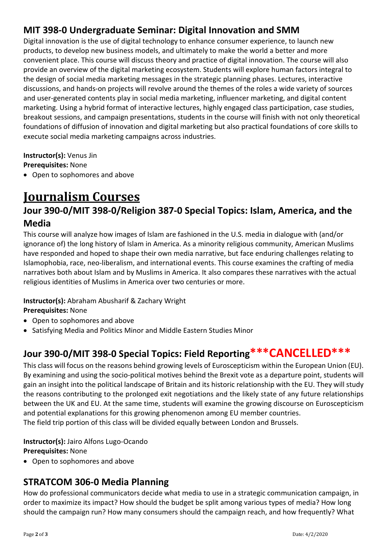### **MIT 398-0 Undergraduate Seminar: Digital Innovation and SMM**

Digital innovation is the use of digital technology to enhance consumer experience, to launch new products, to develop new business models, and ultimately to make the world a better and more convenient place. This course will discuss theory and practice of digital innovation. The course will also provide an overview of the digital marketing ecosystem. Students will explore human factors integral to the design of social media marketing messages in the strategic planning phases. Lectures, interactive discussions, and hands-on projects will revolve around the themes of the roles a wide variety of sources and user-generated contents play in social media marketing, influencer marketing, and digital content marketing. Using a hybrid format of interactive lectures, highly engaged class participation, case studies, breakout sessions, and campaign presentations, students in the course will finish with not only theoretical foundations of diffusion of innovation and digital marketing but also practical foundations of core skills to execute social media marketing campaigns across industries.

**Instructor(s):** Venus Jin **Prerequisites:** None

• Open to sophomores and above

# **Journalism Courses**

### **Jour 390-0/MIT 398-0/Religion 387-0 Special Topics: Islam, America, and the Media**

This course will analyze how images of Islam are fashioned in the U.S. media in dialogue with (and/or ignorance of) the long history of Islam in America. As a minority religious community, American Muslims have responded and hoped to shape their own media narrative, but face enduring challenges relating to Islamophobia, race, neo-liberalism, and international events. This course examines the crafting of media narratives both about Islam and by Muslims in America. It also compares these narratives with the actual religious identities of Muslims in America over two centuries or more.

#### **Instructor(s):** Abraham Abusharif & Zachary Wright

#### **Prerequisites:** None

- Open to sophomores and above
- Satisfying Media and Politics Minor and Middle Eastern Studies Minor

## **Jour 390-0/MIT 398-0 Special Topics: Field Reporting\*\*\*CANCELLED\*\*\***

This class will focus on the reasons behind growing levels of Euroscepticism within the European Union (EU). By examining and using the socio-political motives behind the Brexit vote as a departure point, students will gain an insight into the political landscape of Britain and its historic relationship with the EU. They will study the reasons contributing to the prolonged exit negotiations and the likely state of any future relationships between the UK and EU. At the same time, students will examine the growing discourse on Euroscepticism and potential explanations for this growing phenomenon among EU member countries. The field trip portion of this class will be divided equally between London and Brussels.

**Instructor(s):** Jairo Alfons Lugo-Ocando **Prerequisites:** None

• Open to sophomores and above

#### **STRATCOM 306-0 Media Planning**

How do professional communicators decide what media to use in a strategic communication campaign, in order to maximize its impact? How should the budget be split among various types of media? How long should the campaign run? How many consumers should the campaign reach, and how frequently? What